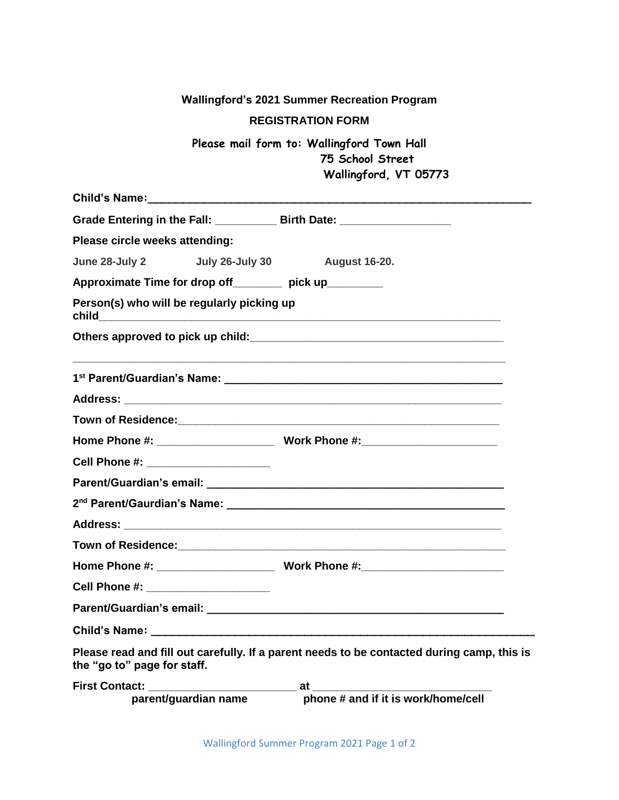| <b>Wallingford's 2021 Summer Recreation Program</b>                                                                       |
|---------------------------------------------------------------------------------------------------------------------------|
| <b>REGISTRATION FORM</b>                                                                                                  |
| Please mail form to: Wallingford Town Hall<br>75 School Street<br>Wallingford, VT 05773                                   |
|                                                                                                                           |
| Grade Entering in the Fall: _____________ Birth Date: __________________________                                          |
| Please circle weeks attending:                                                                                            |
| June 28-July 2   July 26-July 30   August 16-20.                                                                          |
| Approximate Time for drop off________ pick up________                                                                     |
| Person(s) who will be regularly picking up                                                                                |
|                                                                                                                           |
|                                                                                                                           |
|                                                                                                                           |
|                                                                                                                           |
|                                                                                                                           |
| Cell Phone #: ______________________                                                                                      |
|                                                                                                                           |
|                                                                                                                           |
|                                                                                                                           |
| <b>Town of Residence:</b>                                                                                                 |
|                                                                                                                           |
| Cell Phone #: ______________________                                                                                      |
|                                                                                                                           |
|                                                                                                                           |
| Please read and fill out carefully. If a parent needs to be contacted during camp, this is<br>the "go to" page for staff. |
| parent/guardian name bhone # and if it is work/home/cell                                                                  |